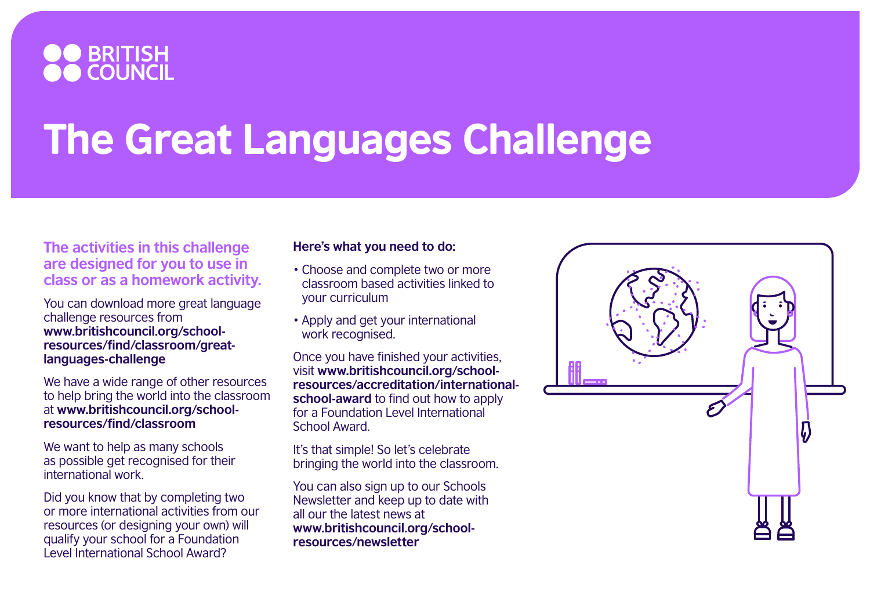

## The Great Languages Challenge

**The activities in this challenge are designed for you to use in class or as a homework activity.** 

You can download more great language challenge resources from **[www.britishcouncil.org/school](http://www.britishcouncil.org/school-resources/find/classroom/great-languages-challenge)[resources/find/classroom/great](http://www.britishcouncil.org/school-resources/find/classroom/great-languages-challenge)[languages-challenge](http://www.britishcouncil.org/school-resources/find/classroom/great-languages-challenge)**

We have a wide range of other resources to help bring the world into the classroom at **[www.britishcouncil.org/school](http://www.britishcouncil.org/school-resources/find/classroom)[resources/find/classroom](http://www.britishcouncil.org/school-resources/find/classroom)**

We want to help as many schools as possible get recognised for their international work.

Did you know that by completing two or more international activities from our resources (or designing your own) will qualify your school for a Foundation Level International School Award?

## **Here's what you need to do:**

- Choose and complete two or more classroom based activities linked to your curriculum
- Apply and get your international work recognised.

Once you have finished your activities, visit **[www.britishcouncil.org/school](https://www.britishcouncil.org/school-resources/accreditation/international-school-award)[resources/accreditation/international](https://www.britishcouncil.org/school-resources/accreditation/international-school-award)[school-award](https://www.britishcouncil.org/school-resources/accreditation/international-school-award)** to find out how to apply for a Foundation Level International School Award.

It's that simple! So let's celebrate bringing the world into the classroom.

You can also sign up to our Schools Newsletter and keep up to date with all our the latest news at **[www.britishcouncil.org/school](https://www.britishcouncil.org/school-resources/newsletter)[resources/newsletter](https://www.britishcouncil.org/school-resources/newsletter)**